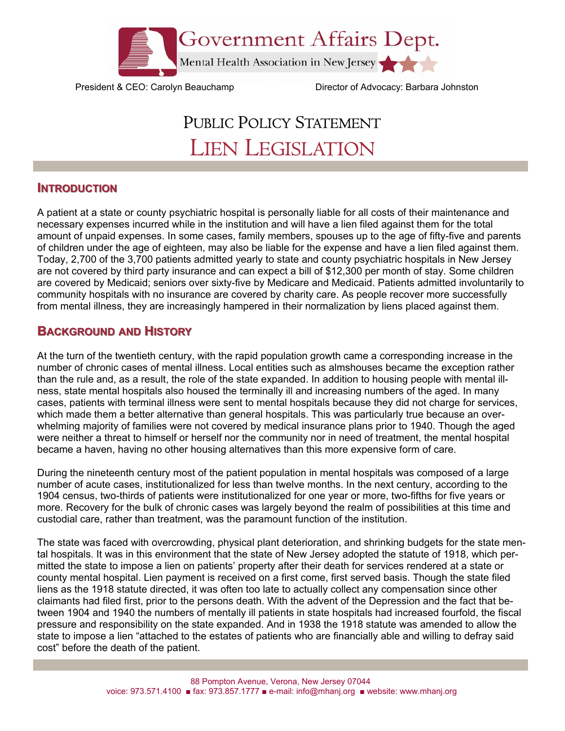

President & CEO: Carolyn Beauchamp Director of Advocacy: Barbara Johnston

# PUBLIC POLICY STATEMENT LIEN LEGISLATION

### **INTRODUCTION**

A patient at a state or county psychiatric hospital is personally liable for all costs of their maintenance and necessary expenses incurred while in the institution and will have a lien filed against them for the total amount of unpaid expenses. In some cases, family members, spouses up to the age of fifty-five and parents of children under the age of eighteen, may also be liable for the expense and have a lien filed against them. Today, 2,700 of the 3,700 patients admitted yearly to state and county psychiatric hospitals in New Jersey are not covered by third party insurance and can expect a bill of \$12,300 per month of stay. Some children are covered by Medicaid; seniors over sixty-five by Medicare and Medicaid. Patients admitted involuntarily to community hospitals with no insurance are covered by charity care. As people recover more successfully from mental illness, they are increasingly hampered in their normalization by liens placed against them.

## **BACKGROUND AND HISTORY**

At the turn of the twentieth century, with the rapid population growth came a corresponding increase in the number of chronic cases of mental illness. Local entities such as almshouses became the exception rather than the rule and, as a result, the role of the state expanded. In addition to housing people with mental illness, state mental hospitals also housed the terminally ill and increasing numbers of the aged. In many cases, patients with terminal illness were sent to mental hospitals because they did not charge for services, which made them a better alternative than general hospitals. This was particularly true because an overwhelming majority of families were not covered by medical insurance plans prior to 1940. Though the aged were neither a threat to himself or herself nor the community nor in need of treatment, the mental hospital became a haven, having no other housing alternatives than this more expensive form of care.

During the nineteenth century most of the patient population in mental hospitals was composed of a large number of acute cases, institutionalized for less than twelve months. In the next century, according to the 1904 census, two-thirds of patients were institutionalized for one year or more, two-fifths for five years or more. Recovery for the bulk of chronic cases was largely beyond the realm of possibilities at this time and custodial care, rather than treatment, was the paramount function of the institution.

The state was faced with overcrowding, physical plant deterioration, and shrinking budgets for the state mental hospitals. It was in this environment that the state of New Jersey adopted the statute of 1918, which permitted the state to impose a lien on patients' property after their death for services rendered at a state or county mental hospital. Lien payment is received on a first come, first served basis. Though the state filed liens as the 1918 statute directed, it was often too late to actually collect any compensation since other claimants had filed first, prior to the persons death. With the advent of the Depression and the fact that between 1904 and 1940 the numbers of mentally ill patients in state hospitals had increased fourfold, the fiscal pressure and responsibility on the state expanded. And in 1938 the 1918 statute was amended to allow the state to impose a lien "attached to the estates of patients who are financially able and willing to defray said cost" before the death of the patient.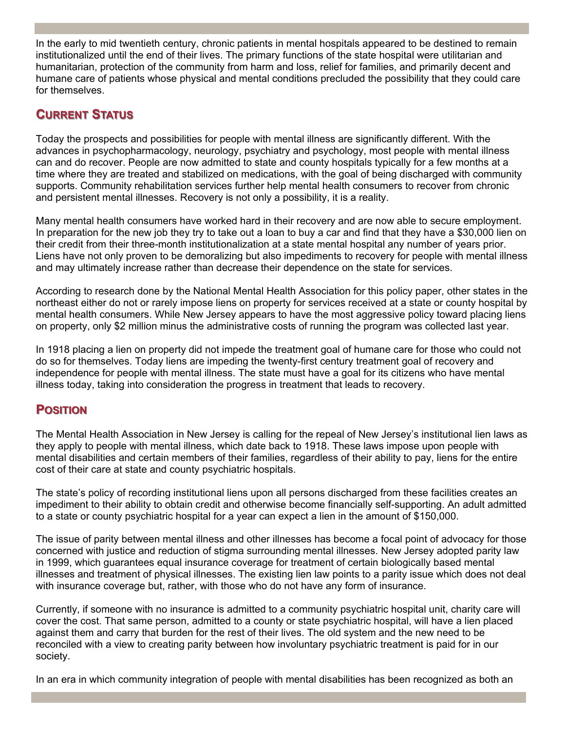In the early to mid twentieth century, chronic patients in mental hospitals appeared to be destined to remain institutionalized until the end of their lives. The primary functions of the state hospital were utilitarian and humanitarian, protection of the community from harm and loss, relief for families, and primarily decent and humane care of patients whose physical and mental conditions precluded the possibility that they could care for themselves.

# **CURRENT STATUS**

Today the prospects and possibilities for people with mental illness are significantly different. With the advances in psychopharmacology, neurology, psychiatry and psychology, most people with mental illness can and do recover. People are now admitted to state and county hospitals typically for a few months at a time where they are treated and stabilized on medications, with the goal of being discharged with community supports. Community rehabilitation services further help mental health consumers to recover from chronic and persistent mental illnesses. Recovery is not only a possibility, it is a reality.

Many mental health consumers have worked hard in their recovery and are now able to secure employment. In preparation for the new job they try to take out a loan to buy a car and find that they have a \$30,000 lien on their credit from their three-month institutionalization at a state mental hospital any number of years prior. Liens have not only proven to be demoralizing but also impediments to recovery for people with mental illness and may ultimately increase rather than decrease their dependence on the state for services.

According to research done by the National Mental Health Association for this policy paper, other states in the northeast either do not or rarely impose liens on property for services received at a state or county hospital by mental health consumers. While New Jersey appears to have the most aggressive policy toward placing liens on property, only \$2 million minus the administrative costs of running the program was collected last year.

In 1918 placing a lien on property did not impede the treatment goal of humane care for those who could not do so for themselves. Today liens are impeding the twenty-first century treatment goal of recovery and independence for people with mental illness. The state must have a goal for its citizens who have mental illness today, taking into consideration the progress in treatment that leads to recovery.

## **POSITION OSITION**

The Mental Health Association in New Jersey is calling for the repeal of New Jersey's institutional lien laws as they apply to people with mental illness, which date back to 1918. These laws impose upon people with mental disabilities and certain members of their families, regardless of their ability to pay, liens for the entire cost of their care at state and county psychiatric hospitals.

The state's policy of recording institutional liens upon all persons discharged from these facilities creates an impediment to their ability to obtain credit and otherwise become financially self-supporting. An adult admitted to a state or county psychiatric hospital for a year can expect a lien in the amount of \$150,000.

The issue of parity between mental illness and other illnesses has become a focal point of advocacy for those concerned with justice and reduction of stigma surrounding mental illnesses. New Jersey adopted parity law in 1999, which guarantees equal insurance coverage for treatment of certain biologically based mental illnesses and treatment of physical illnesses. The existing lien law points to a parity issue which does not deal with insurance coverage but, rather, with those who do not have any form of insurance.

Currently, if someone with no insurance is admitted to a community psychiatric hospital unit, charity care will cover the cost. That same person, admitted to a county or state psychiatric hospital, will have a lien placed against them and carry that burden for the rest of their lives. The old system and the new need to be reconciled with a view to creating parity between how involuntary psychiatric treatment is paid for in our society.

In an era in which community integration of people with mental disabilities has been recognized as both an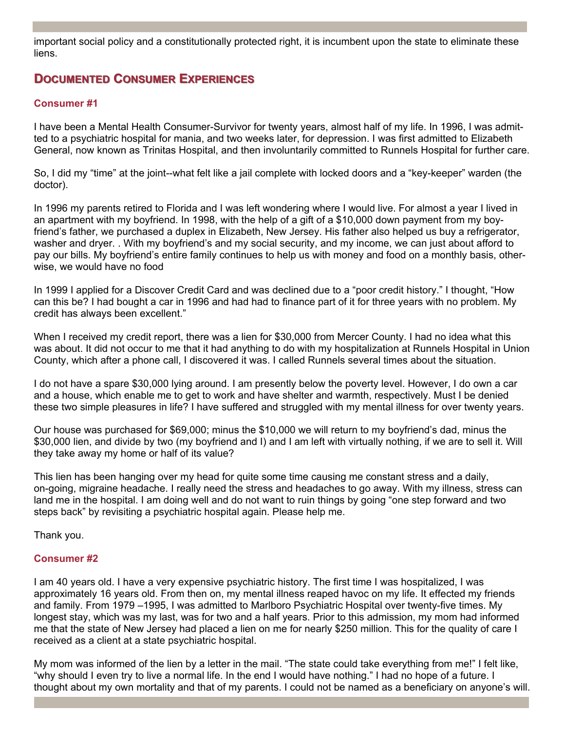important social policy and a constitutionally protected right, it is incumbent upon the state to eliminate these liens.

## **DOCUMENTED CONSUMER EXPERIENCES**

#### **Consumer #1**

I have been a Mental Health Consumer-Survivor for twenty years, almost half of my life. In 1996, I was admitted to a psychiatric hospital for mania, and two weeks later, for depression. I was first admitted to Elizabeth General, now known as Trinitas Hospital, and then involuntarily committed to Runnels Hospital for further care.

So, I did my "time" at the joint--what felt like a jail complete with locked doors and a "key-keeper" warden (the doctor).

In 1996 my parents retired to Florida and I was left wondering where I would live. For almost a year I lived in an apartment with my boyfriend. In 1998, with the help of a gift of a \$10,000 down payment from my boyfriend's father, we purchased a duplex in Elizabeth, New Jersey. His father also helped us buy a refrigerator, washer and dryer. . With my boyfriend's and my social security, and my income, we can just about afford to pay our bills. My boyfriend's entire family continues to help us with money and food on a monthly basis, otherwise, we would have no food

In 1999 I applied for a Discover Credit Card and was declined due to a "poor credit history." I thought, "How can this be? I had bought a car in 1996 and had had to finance part of it for three years with no problem. My credit has always been excellent."

When I received my credit report, there was a lien for \$30,000 from Mercer County. I had no idea what this was about. It did not occur to me that it had anything to do with my hospitalization at Runnels Hospital in Union County, which after a phone call, I discovered it was. I called Runnels several times about the situation.

I do not have a spare \$30,000 lying around. I am presently below the poverty level. However, I do own a car and a house, which enable me to get to work and have shelter and warmth, respectively. Must I be denied these two simple pleasures in life? I have suffered and struggled with my mental illness for over twenty years.

Our house was purchased for \$69,000; minus the \$10,000 we will return to my boyfriend's dad, minus the \$30,000 lien, and divide by two (my boyfriend and I) and I am left with virtually nothing, if we are to sell it. Will they take away my home or half of its value?

This lien has been hanging over my head for quite some time causing me constant stress and a daily, on-going, migraine headache. I really need the stress and headaches to go away. With my illness, stress can land me in the hospital. I am doing well and do not want to ruin things by going "one step forward and two steps back" by revisiting a psychiatric hospital again. Please help me.

Thank you.

#### **Consumer #2**

I am 40 years old. I have a very expensive psychiatric history. The first time I was hospitalized, I was approximately 16 years old. From then on, my mental illness reaped havoc on my life. It effected my friends and family. From 1979 –1995, I was admitted to Marlboro Psychiatric Hospital over twenty-five times. My longest stay, which was my last, was for two and a half years. Prior to this admission, my mom had informed me that the state of New Jersey had placed a lien on me for nearly \$250 million. This for the quality of care I received as a client at a state psychiatric hospital.

My mom was informed of the lien by a letter in the mail. "The state could take everything from me!" I felt like, "why should I even try to live a normal life. In the end I would have nothing." I had no hope of a future. I thought about my own mortality and that of my parents. I could not be named as a beneficiary on anyone's will.